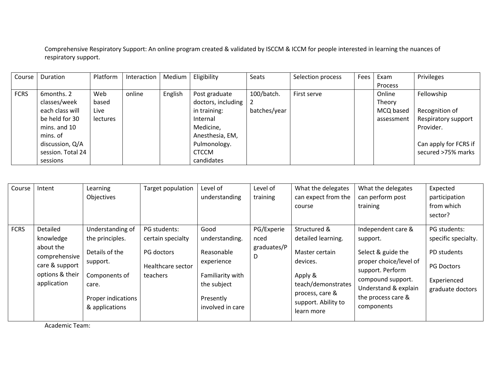Comprehensive Respiratory Support: An online program created & validated by ISCCM & ICCM for people interested in learning the nuances of respiratory support.

| Course      | Duration          | Platform        | Interaction | Medium  | Eligibility        | Seats        | Selection process | Fees | Exam       | Privileges            |
|-------------|-------------------|-----------------|-------------|---------|--------------------|--------------|-------------------|------|------------|-----------------------|
|             |                   |                 |             |         |                    |              |                   |      | Process    |                       |
| <b>FCRS</b> | 6months, 2        | Web             | online      | English | Post graduate      | 100/batch.   | First serve       |      | Online     | Fellowship            |
|             | classes/week      | based           |             |         | doctors, including |              |                   |      | Theory     |                       |
|             | each class will   | Live            |             |         | in training:       | batches/year |                   |      | MCQ based  | Recognition of        |
|             | be held for 30    | <b>lectures</b> |             |         | Internal           |              |                   |      | assessment | Respiratory support   |
|             | mins. and 10      |                 |             |         | Medicine,          |              |                   |      |            | Provider.             |
|             | mins. of          |                 |             |         | Anesthesia, EM,    |              |                   |      |            |                       |
|             | discussion, Q/A   |                 |             |         | Pulmonology.       |              |                   |      |            | Can apply for FCRS if |
|             | session. Total 24 |                 |             |         | <b>CTCCM</b>       |              |                   |      |            | secured >75% marks    |
|             | sessions          |                 |             |         | candidates         |              |                   |      |            |                       |

| Course      | Intent                                                                                                  | Learning<br>Objectives                                                                                                              | Target population                                                                | Level of<br>understanding                                                                                              | Level of<br>training                   | What the delegates<br>can expect from the<br>course                                                                                                       | What the delegates<br>can perform post<br>training                                                                                                                                  | Expected<br>participation<br>from which<br>sector?                                                         |
|-------------|---------------------------------------------------------------------------------------------------------|-------------------------------------------------------------------------------------------------------------------------------------|----------------------------------------------------------------------------------|------------------------------------------------------------------------------------------------------------------------|----------------------------------------|-----------------------------------------------------------------------------------------------------------------------------------------------------------|-------------------------------------------------------------------------------------------------------------------------------------------------------------------------------------|------------------------------------------------------------------------------------------------------------|
| <b>FCRS</b> | Detailed<br>knowledge<br>about the<br>comprehensive<br>care & support<br>options & their<br>application | Understanding of<br>the principles.<br>Details of the<br>support.<br>Components of<br>care.<br>Proper indications<br>& applications | PG students:<br>certain specialty<br>PG doctors<br>Healthcare sector<br>teachers | Good<br>understanding.<br>Reasonable<br>experience<br>Familiarity with<br>the subject<br>Presently<br>involved in care | PG/Experie<br>nced<br>graduates/P<br>D | Structured &<br>detailed learning.<br>Master certain<br>devices.<br>Apply &<br>teach/demonstrates<br>process, care &<br>support. Ability to<br>learn more | Independent care &<br>support.<br>Select & guide the<br>proper choice/level of<br>support. Perform<br>compound support.<br>Understand & explain<br>the process care &<br>components | PG students:<br>specific specialty.<br>PD students<br><b>PG Doctors</b><br>Experienced<br>graduate doctors |

Academic Team: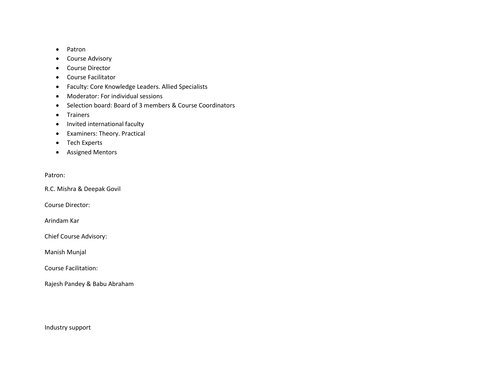- Patron
- Course Advisory
- Course Director
- Course Facilitator
- Faculty: Core Knowledge Leaders. Allied Specialists
- Moderator: For individual sessions
- Selection board: Board of 3 members & Course Coordinators
- Trainers
- Invited international faculty
- Examiners: Theory. Practical
- Tech Experts
- Assigned Mentors

## Patron:

R.C. Mishra & Deepak Govil

Course Director:

Arindam Kar

Chief Course Advisory:

Manish Munjal

Course Facilitation:

Rajesh Pandey & Babu Abraham

Industry support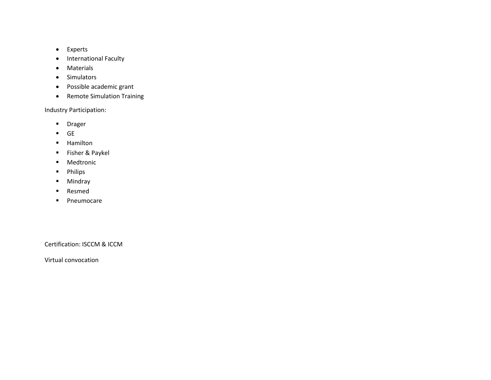- Experts
- International Faculty
- Materials
- Simulators
- Possible academic grant
- Remote Simulation Training

Industry Participation:

- Drager
- GE
- Hamilton
- Fisher & Paykel
- Medtronic
- Philips
- Mindray
- Resmed
- Pneumocare

Certification: ISCCM & ICCM

Virtual convocation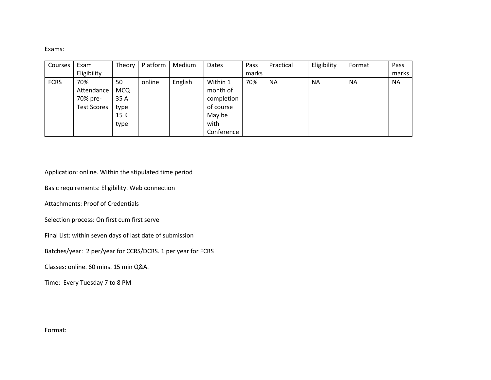Exams:

| Courses     | Exam               | Theory     | Platform | Medium  | Dates      | Pass  | Practical | Eligibility | Format    | Pass      |
|-------------|--------------------|------------|----------|---------|------------|-------|-----------|-------------|-----------|-----------|
|             | Eligibility        |            |          |         |            | marks |           |             |           | marks     |
| <b>FCRS</b> | 70%                | 50         | online   | English | Within 1   | 70%   | <b>NA</b> | <b>NA</b>   | <b>NA</b> | <b>NA</b> |
|             | Attendance         | <b>MCQ</b> |          |         | month of   |       |           |             |           |           |
|             | 70% pre-           | 35 A       |          |         | completion |       |           |             |           |           |
|             | <b>Test Scores</b> | type       |          |         | of course  |       |           |             |           |           |
|             |                    | 15 K       |          |         | May be     |       |           |             |           |           |
|             |                    | type       |          |         | with       |       |           |             |           |           |
|             |                    |            |          |         | Conference |       |           |             |           |           |

Application: online. Within the stipulated time period

Basic requirements: Eligibility. Web connection

Attachments: Proof of Credentials

Selection process: On first cum first serve

Final List: within seven days of last date of submission

Batches/year: 2 per/year for CCRS/DCRS. 1 per year for FCRS

Classes: online. 60 mins. 15 min Q&A.

Time: Every Tuesday 7 to 8 PM

Format: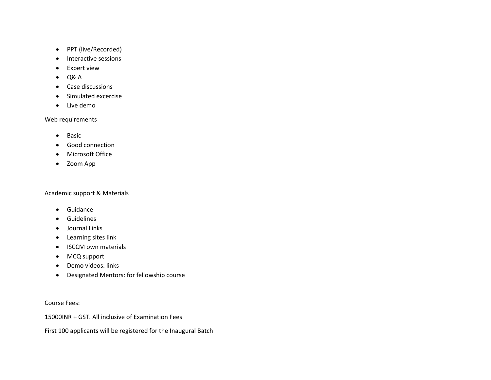- PPT (live/Recorded)
- Interactive sessions
- Expert view
- $\bullet$  Q& A
- Case discussions
- Simulated excercise
- Live demo

## Web requirements

- Basic
- Good connection
- Microsoft Office
- Zoom App

## Academic support & Materials

- Guidance
- Guidelines
- Journal Links
- Learning sites link
- ISCCM own materials
- MCQ support
- Demo videos: links
- Designated Mentors: for fellowship course

Course Fees:

15000INR + GST. All inclusive of Examination Fees

First 100 applicants will be registered for the Inaugural Batch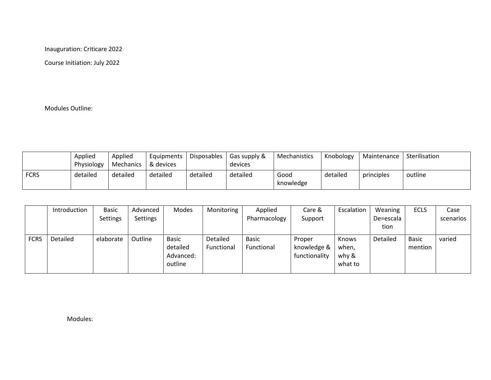Inauguration: Criticare 2022

Course Initiation: July 2022

Modules Outline:

|             | Applied<br>Physiology | Applied<br>Mechanics | Equipments<br>8 devices | Disposables | Gas supply &<br>devices | <b>Mechanistics</b> | Knobology | Maintenance | Sterilisation |
|-------------|-----------------------|----------------------|-------------------------|-------------|-------------------------|---------------------|-----------|-------------|---------------|
| <b>FCRS</b> | detailed              | detailed             | detailed                | detailed    | detailed                | Good<br>knowledge   | detailed  | principles  | outline       |

|             | Introduction | <b>Basic</b> | Advanced        | Modes        | Monitoring | Applied      | Care &        | Escalation   | Weaning   | <b>ECLS</b>  | Case      |
|-------------|--------------|--------------|-----------------|--------------|------------|--------------|---------------|--------------|-----------|--------------|-----------|
|             |              | Settings     | <b>Settings</b> |              |            | Pharmacology | Support       |              | De=escala |              | scenarios |
|             |              |              |                 |              |            |              |               |              | tion      |              |           |
| <b>FCRS</b> | Detailed     | elaborate    | Outline         | <b>Basic</b> | Detailed   | <b>Basic</b> | Proper        | <b>Knows</b> | Detailed  | <b>Basic</b> | varied    |
|             |              |              |                 | detailed     | Functional | Functional   | knowledge &   | when,        |           | mention      |           |
|             |              |              |                 | Advanced:    |            |              | functionality | why &        |           |              |           |
|             |              |              |                 | outline      |            |              |               | what to      |           |              |           |

Modules: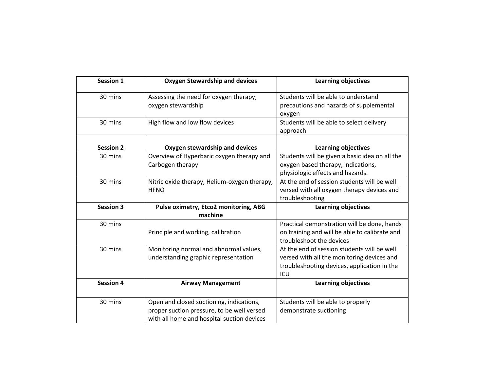| Session 1        | <b>Oxygen Stewardship and devices</b>                                                                                                | <b>Learning objectives</b>                                                                                                                      |
|------------------|--------------------------------------------------------------------------------------------------------------------------------------|-------------------------------------------------------------------------------------------------------------------------------------------------|
| 30 mins          | Assessing the need for oxygen therapy,<br>oxygen stewardship                                                                         | Students will be able to understand<br>precautions and hazards of supplemental<br>oxygen                                                        |
| 30 mins          | High flow and low flow devices                                                                                                       | Students will be able to select delivery<br>approach                                                                                            |
| <b>Session 2</b> | Oxygen stewardship and devices                                                                                                       | <b>Learning objectives</b>                                                                                                                      |
| 30 mins          | Overview of Hyperbaric oxygen therapy and<br>Carbogen therapy                                                                        | Students will be given a basic idea on all the<br>oxygen based therapy, indications,<br>physiologic effects and hazards.                        |
| 30 mins          | Nitric oxide therapy, Helium-oxygen therapy,<br><b>HFNO</b>                                                                          | At the end of session students will be well<br>versed with all oxygen therapy devices and<br>troubleshooting                                    |
| <b>Session 3</b> | Pulse oximetry, Etco2 monitoring, ABG<br>machine                                                                                     | <b>Learning objectives</b>                                                                                                                      |
| 30 mins          | Principle and working, calibration                                                                                                   | Practical demonstration will be done, hands<br>on training and will be able to calibrate and<br>troubleshoot the devices                        |
| 30 mins          | Monitoring normal and abnormal values,<br>understanding graphic representation                                                       | At the end of session students will be well<br>versed with all the monitoring devices and<br>troubleshooting devices, application in the<br>ICU |
| <b>Session 4</b> | <b>Airway Management</b>                                                                                                             | <b>Learning objectives</b>                                                                                                                      |
| 30 mins          | Open and closed suctioning, indications,<br>proper suction pressure, to be well versed<br>with all home and hospital suction devices | Students will be able to properly<br>demonstrate suctioning                                                                                     |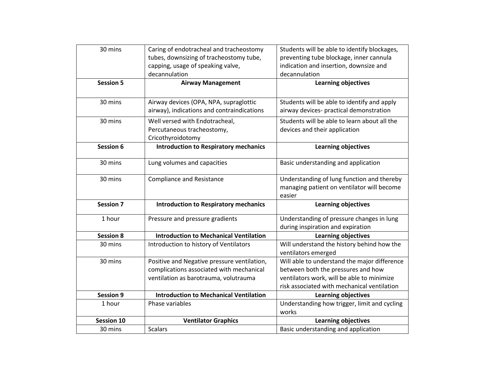| 30 mins           | Caring of endotracheal and tracheostomy       | Students will be able to identify blockages, |
|-------------------|-----------------------------------------------|----------------------------------------------|
|                   | tubes, downsizing of tracheostomy tube,       | preventing tube blockage, inner cannula      |
|                   | capping, usage of speaking valve,             | indication and insertion, downsize and       |
|                   | decannulation                                 | decannulation                                |
| <b>Session 5</b>  | <b>Airway Management</b>                      | <b>Learning objectives</b>                   |
|                   |                                               |                                              |
| 30 mins           | Airway devices (OPA, NPA, supraglottic        | Students will be able to identify and apply  |
|                   | airway), indications and contraindications    | airway devices- practical demonstration      |
| 30 mins           | Well versed with Endotracheal,                | Students will be able to learn about all the |
|                   | Percutaneous tracheostomy,                    | devices and their application                |
|                   | Cricothyroidotomy                             |                                              |
| Session 6         | <b>Introduction to Respiratory mechanics</b>  | <b>Learning objectives</b>                   |
|                   |                                               |                                              |
| 30 mins           | Lung volumes and capacities                   | Basic understanding and application          |
| 30 mins           | <b>Compliance and Resistance</b>              | Understanding of lung function and thereby   |
|                   |                                               | managing patient on ventilator will become   |
|                   |                                               | easier                                       |
| <b>Session 7</b>  |                                               |                                              |
|                   | <b>Introduction to Respiratory mechanics</b>  | <b>Learning objectives</b>                   |
| 1 hour            | Pressure and pressure gradients               | Understanding of pressure changes in lung    |
|                   |                                               | during inspiration and expiration            |
| <b>Session 8</b>  | <b>Introduction to Mechanical Ventilation</b> | <b>Learning objectives</b>                   |
| 30 mins           | Introduction to history of Ventilators        | Will understand the history behind how the   |
|                   |                                               | ventilators emerged                          |
| 30 mins           | Positive and Negative pressure ventilation,   | Will able to understand the major difference |
|                   | complications associated with mechanical      | between both the pressures and how           |
|                   | ventilation as barotrauma, volutrauma         | ventilators work, will be able to minimize   |
|                   |                                               | risk associated with mechanical ventilation  |
| <b>Session 9</b>  | <b>Introduction to Mechanical Ventilation</b> | <b>Learning objectives</b>                   |
| 1 hour            | Phase variables                               | Understanding how trigger, limit and cycling |
|                   |                                               | works                                        |
| <b>Session 10</b> | <b>Ventilator Graphics</b>                    | <b>Learning objectives</b>                   |
| 30 mins           | <b>Scalars</b>                                | Basic understanding and application          |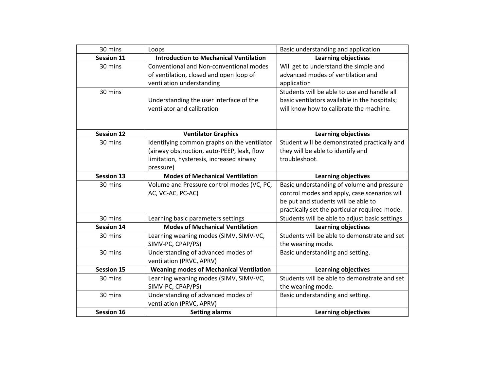| 30 mins           | Loops                                          | Basic understanding and application            |
|-------------------|------------------------------------------------|------------------------------------------------|
| <b>Session 11</b> | <b>Introduction to Mechanical Ventilation</b>  | <b>Learning objectives</b>                     |
| 30 mins           | Conventional and Non-conventional modes        | Will get to understand the simple and          |
|                   | of ventilation, closed and open loop of        | advanced modes of ventilation and              |
|                   | ventilation understanding                      | application                                    |
| 30 mins           |                                                | Students will be able to use and handle all    |
|                   | Understanding the user interface of the        | basic ventilators available in the hospitals;  |
|                   | ventilator and calibration                     | will know how to calibrate the machine.        |
|                   |                                                |                                                |
|                   |                                                |                                                |
| <b>Session 12</b> | <b>Ventilator Graphics</b>                     | <b>Learning objectives</b>                     |
| 30 mins           | Identifying common graphs on the ventilator    | Student will be demonstrated practically and   |
|                   | (airway obstruction, auto-PEEP, leak, flow     | they will be able to identify and              |
|                   | limitation, hysteresis, increased airway       | troubleshoot.                                  |
|                   | pressure)                                      |                                                |
| <b>Session 13</b> | <b>Modes of Mechanical Ventilation</b>         | <b>Learning objectives</b>                     |
| 30 mins           | Volume and Pressure control modes (VC, PC,     | Basic understanding of volume and pressure     |
|                   | AC, VC-AC, PC-AC)                              | control modes and apply, case scenarios will   |
|                   |                                                | be put and students will be able to            |
|                   |                                                | practically set the particular required mode.  |
| 30 mins           | Learning basic parameters settings             | Students will be able to adjust basic settings |
| <b>Session 14</b> | <b>Modes of Mechanical Ventilation</b>         | <b>Learning objectives</b>                     |
| 30 mins           | Learning weaning modes (SIMV, SIMV-VC,         | Students will be able to demonstrate and set   |
|                   | SIMV-PC, CPAP/PS)                              | the weaning mode.                              |
| 30 mins           | Understanding of advanced modes of             | Basic understanding and setting.               |
|                   | ventilation (PRVC, APRV)                       |                                                |
| <b>Session 15</b> | <b>Weaning modes of Mechanical Ventilation</b> | <b>Learning objectives</b>                     |
| 30 mins           | Learning weaning modes (SIMV, SIMV-VC,         | Students will be able to demonstrate and set   |
|                   | SIMV-PC, CPAP/PS)                              | the weaning mode.                              |
| 30 mins           | Understanding of advanced modes of             | Basic understanding and setting.               |
|                   | ventilation (PRVC, APRV)                       |                                                |
| <b>Session 16</b> | <b>Setting alarms</b>                          | <b>Learning objectives</b>                     |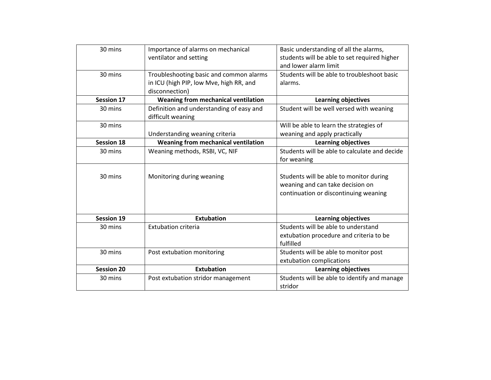| 30 mins           | Importance of alarms on mechanical       | Basic understanding of all the alarms,        |
|-------------------|------------------------------------------|-----------------------------------------------|
|                   | ventilator and setting                   | students will be able to set required higher  |
|                   |                                          | and lower alarm limit                         |
| 30 mins           | Troubleshooting basic and common alarms  | Students will be able to troubleshoot basic   |
|                   | in ICU (high PIP, low Mve, high RR, and  | alarms.                                       |
|                   | disconnection)                           |                                               |
| <b>Session 17</b> | Weaning from mechanical ventilation      | <b>Learning objectives</b>                    |
| 30 mins           | Definition and understanding of easy and | Student will be well versed with weaning      |
|                   | difficult weaning                        |                                               |
| 30 mins           |                                          | Will be able to learn the strategies of       |
|                   | Understanding weaning criteria           | weaning and apply practically                 |
| <b>Session 18</b> | Weaning from mechanical ventilation      | <b>Learning objectives</b>                    |
| 30 mins           | Weaning methods, RSBI, VC, NIF           | Students will be able to calculate and decide |
|                   |                                          | for weaning                                   |
|                   |                                          |                                               |
| 30 mins           | Monitoring during weaning                | Students will be able to monitor during       |
|                   |                                          | weaning and can take decision on              |
|                   |                                          | continuation or discontinuing weaning         |
|                   |                                          |                                               |
|                   |                                          |                                               |
| <b>Session 19</b> | <b>Extubation</b>                        | <b>Learning objectives</b>                    |
| 30 mins           | <b>Extubation criteria</b>               | Students will be able to understand           |
|                   |                                          | extubation procedure and criteria to be       |
|                   |                                          | fulfilled                                     |
| 30 mins           | Post extubation monitoring               | Students will be able to monitor post         |
|                   |                                          | extubation complications                      |
| <b>Session 20</b> | <b>Extubation</b>                        | <b>Learning objectives</b>                    |
| 30 mins           | Post extubation stridor management       | Students will be able to identify and manage  |
|                   |                                          | stridor                                       |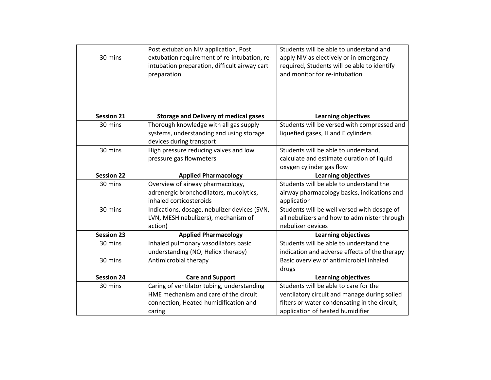| 30 mins           | Post extubation NIV application, Post<br>extubation requirement of re-intubation, re-<br>intubation preparation, difficult airway cart<br>preparation | Students will be able to understand and<br>apply NIV as electively or in emergency<br>required, Students will be able to identify<br>and monitor for re-intubation |
|-------------------|-------------------------------------------------------------------------------------------------------------------------------------------------------|--------------------------------------------------------------------------------------------------------------------------------------------------------------------|
| <b>Session 21</b> | <b>Storage and Delivery of medical gases</b>                                                                                                          | <b>Learning objectives</b>                                                                                                                                         |
| 30 mins           | Thorough knowledge with all gas supply<br>systems, understanding and using storage                                                                    | Students will be versed with compressed and<br>liquefied gases, H and E cylinders                                                                                  |
|                   | devices during transport                                                                                                                              |                                                                                                                                                                    |
| 30 mins           | High pressure reducing valves and low                                                                                                                 | Students will be able to understand,                                                                                                                               |
|                   | pressure gas flowmeters                                                                                                                               | calculate and estimate duration of liquid                                                                                                                          |
|                   |                                                                                                                                                       | oxygen cylinder gas flow                                                                                                                                           |
| <b>Session 22</b> | <b>Applied Pharmacology</b>                                                                                                                           | <b>Learning objectives</b>                                                                                                                                         |
| 30 mins           | Overview of airway pharmacology,                                                                                                                      | Students will be able to understand the                                                                                                                            |
|                   | adrenergic bronchodilators, mucolytics,                                                                                                               | airway pharmacology basics, indications and                                                                                                                        |
|                   | inhaled corticosteroids                                                                                                                               | application                                                                                                                                                        |
| 30 mins           | Indications, dosage, nebulizer devices (SVN,                                                                                                          | Students will be well versed with dosage of                                                                                                                        |
|                   | LVN, MESH nebulizers), mechanism of                                                                                                                   | all nebulizers and how to administer through                                                                                                                       |
|                   | action)                                                                                                                                               | nebulizer devices                                                                                                                                                  |
| <b>Session 23</b> | <b>Applied Pharmacology</b>                                                                                                                           | <b>Learning objectives</b>                                                                                                                                         |
| 30 mins           | Inhaled pulmonary vasodilators basic                                                                                                                  | Students will be able to understand the                                                                                                                            |
|                   | understanding (NO, Heliox therapy)                                                                                                                    | indication and adverse effects of the therapy                                                                                                                      |
| 30 mins           | Antimicrobial therapy                                                                                                                                 | Basic overview of antimicrobial inhaled                                                                                                                            |
|                   |                                                                                                                                                       | drugs                                                                                                                                                              |
| <b>Session 24</b> | <b>Care and Support</b>                                                                                                                               | <b>Learning objectives</b>                                                                                                                                         |
| 30 mins           | Caring of ventilator tubing, understanding                                                                                                            | Students will be able to care for the                                                                                                                              |
|                   | HME mechanism and care of the circuit                                                                                                                 | ventilatory circuit and manage during soiled                                                                                                                       |
|                   | connection, Heated humidification and                                                                                                                 | filters or water condensating in the circuit,                                                                                                                      |
|                   | caring                                                                                                                                                | application of heated humidifier                                                                                                                                   |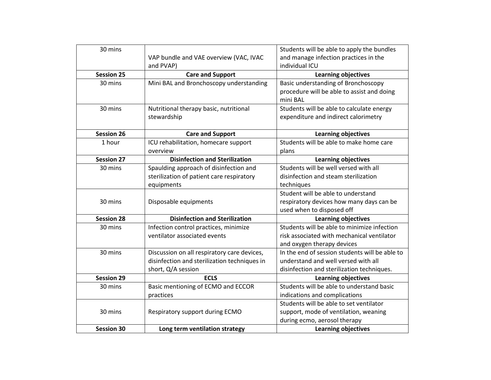| 30 mins           |                                              | Students will be able to apply the bundles     |
|-------------------|----------------------------------------------|------------------------------------------------|
|                   | VAP bundle and VAE overview (VAC, IVAC       | and manage infection practices in the          |
|                   | and PVAP)                                    | individual ICU                                 |
| <b>Session 25</b> | <b>Care and Support</b>                      | <b>Learning objectives</b>                     |
| 30 mins           | Mini BAL and Bronchoscopy understanding      | Basic understanding of Bronchoscopy            |
|                   |                                              | procedure will be able to assist and doing     |
|                   |                                              | mini BAL                                       |
| 30 mins           | Nutritional therapy basic, nutritional       | Students will be able to calculate energy      |
|                   | stewardship                                  | expenditure and indirect calorimetry           |
|                   |                                              |                                                |
| <b>Session 26</b> | <b>Care and Support</b>                      | Learning objectives                            |
| 1 hour            | ICU rehabilitation, homecare support         | Students will be able to make home care        |
|                   | overview                                     | plans                                          |
| <b>Session 27</b> | <b>Disinfection and Sterilization</b>        | <b>Learning objectives</b>                     |
| 30 mins           | Spaulding approach of disinfection and       | Students will be well versed with all          |
|                   | sterilization of patient care respiratory    | disinfection and steam sterilization           |
|                   | equipments                                   | techniques                                     |
|                   |                                              | Student will be able to understand             |
| 30 mins           | Disposable equipments                        | respiratory devices how many days can be       |
|                   |                                              | used when to disposed off                      |
| <b>Session 28</b> | <b>Disinfection and Sterilization</b>        | <b>Learning objectives</b>                     |
| 30 mins           | Infection control practices, minimize        | Students will be able to minimize infection    |
|                   | ventilator associated events                 | risk associated with mechanical ventilator     |
|                   |                                              | and oxygen therapy devices                     |
| 30 mins           | Discussion on all respiratory care devices,  | In the end of session students will be able to |
|                   | disinfection and sterilization techniques in | understand and well versed with all            |
|                   | short, Q/A session                           | disinfection and sterilization techniques.     |
| <b>Session 29</b> | <b>ECLS</b>                                  | <b>Learning objectives</b>                     |
| 30 mins           | Basic mentioning of ECMO and ECCOR           | Students will be able to understand basic      |
|                   | practices                                    | indications and complications                  |
|                   |                                              | Students will be able to set ventilator        |
| 30 mins           | Respiratory support during ECMO              | support, mode of ventilation, weaning          |
|                   |                                              | during ecmo, aerosol therapy                   |
| <b>Session 30</b> | Long term ventilation strategy               | Learning objectives                            |